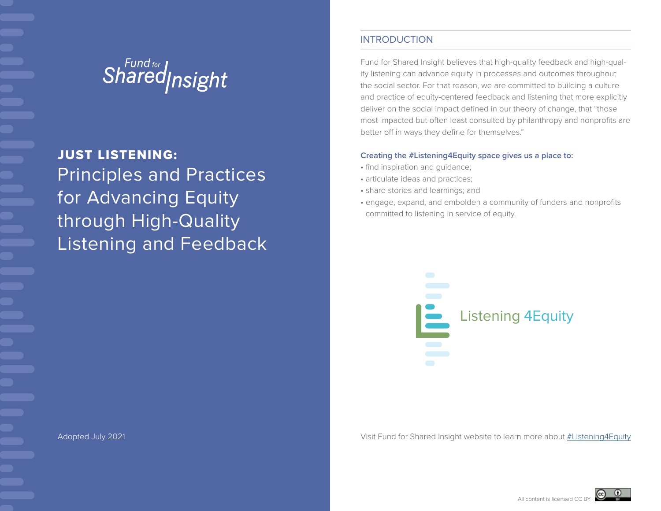# Shared<sub>Insight</sub>

Principles and Practices for Advancing Equity through High-Quality Listening and Feedback JUST LISTENING:

## INTRODUCTION

Fund for Shared Insight believes that high-quality feedback and high-quality listening can advance equity in processes and outcomes throughout the social sector. For that reason, we are committed to building a culture and practice of equity-centered feedback and listening that more explicitly deliver on the social impact defined in our theory of change, that "those most impacted but often least consulted by philanthropy and nonprofits are better off in ways they define for themselves."

#### **Creating the #Listening4Equity space gives us a place to:**

- find inspiration and guidance;
- articulate ideas and practices;
- share stories and learnings; and
- engage, expand, and embolden a community of funders and nonprofits committed to listening in service of equity.



Adopted July 2021 Visit Fund for Shared Insight website to learn more about #Listening4Equity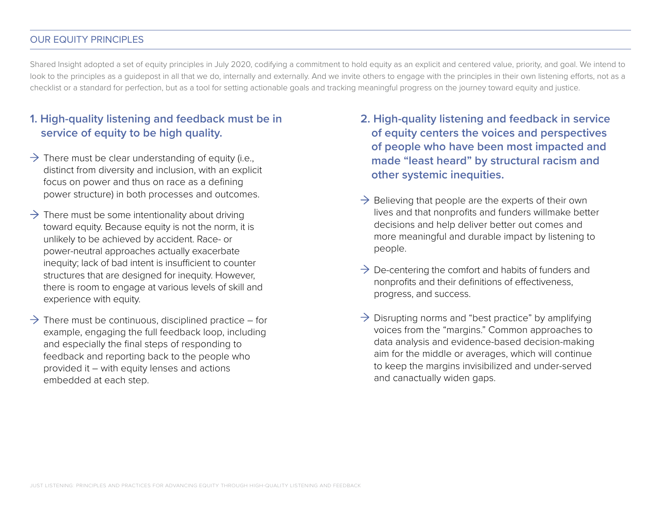### OUR EQUITY PRINCIPLES

Shared Insight adopted a set of equity principles in July 2020, codifying a commitment to hold equity as an explicit and centered value, priority, and goal. We intend to look to the principles as a quidepost in all that we do, internally and externally. And we invite others to engage with the principles in their own listening efforts, not as a checklist or a standard for perfection, but as a tool for setting actionable goals and tracking meaningful progress on the journey toward equity and justice.

# **1. High-quality listening and feedback must be in service of equity to be high quality.**

- $\rightarrow$  There must be clear understanding of equity (i.e., distinct from diversity and inclusion, with an explicit focus on power and thus on race as a defining power structure) in both processes and outcomes.  $\rightarrow$  Believing that people are the experts of their own
- $\rightarrow$  There must be some intentionality about driving toward equity. Because equity is not the norm, it is unlikely to be achieved by accident. Race- or power-neutral approaches actually exacerbate inequity; lack of bad intent is insufficient to counter structures that are designed for inequity. However, there is room to engage at various levels of skill and experience with equity.
- $\rightarrow$  There must be continuous, disciplined practice for example, engaging the full feedback loop, including and especially the final steps of responding to feedback and reporting back to the people who provided it – with equity lenses and actions embedded at each step.
- **2. High-quality listening and feedback in service of equity centers the voices and perspectives of people who have been most impacted and made "least heard" by structural racism and other systemic inequities.**
- lives and that nonprofits and funders willmake better decisions and help deliver better out comes and more meaningful and durable impact by listening to people.
- $\rightarrow$  De-centering the comfort and habits of funders and nonprofits and their definitions of effectiveness, progress, and success.
- $\rightarrow$  Disrupting norms and "best practice" by amplifying voices from the "margins." Common approaches to data analysis and evidence-based decision-making aim for the middle or averages, which will continue to keep the margins invisibilized and under-served and canactually widen gaps.